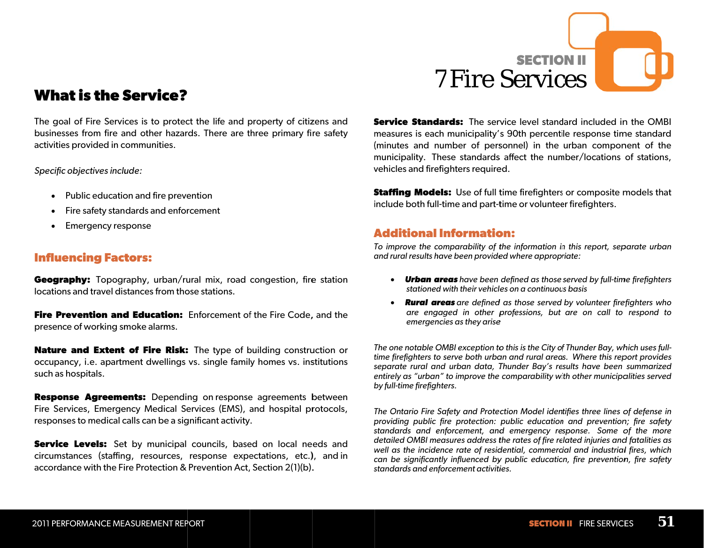

# **Whaat is the SService?**

The goal of Fire Services is to protect the life and property of citizens and businesses from fire and other hazards. There are three primary fire safety activities provided in communities.

*Specific objectives include:* 

- Public education and fire prevention
- Fire safety standards and enforcement
- Emergency response

#### **Influe encing Fact tors:**

Geography: Topography, urban/rural mix, road congestion, fire station locations and travel distances from those stations.

**Fire Prevention and Education:** Enforcement of the Fire Code, and the presence of working smoke alarms.

**Nature and Extent of Fire Risk:** The type of building construction or occupancy, i.e. apartment dwellings vs. single family homes vs. institutions such as hospitals.

**Response Agreements:** Depending on response agreements between Fire Services, Emergency Medical Services (EMS), and hospital protocols, responses to medical calls can be a significant activity.

Service Levels: Set by municipal councils, based on local needs and circumstances (staffing, resources, response expectations, etc.), and in accordance with the Fire Protection & Prevention Act, Section 2(1)(b).

**Service Standards:** The service level standard included in the OMBI measures is each municipality's 90th percentile response time standard (minutes and number of personnel) in the urban component of the municipality. These standards affect the number/locations of stations, vehicles and firefighters required.

**Staffing Models:** Use of full time firefighters or composite models that iinclude both ful l-time and part-t time or voluntee er firefighters.

#### **AAdditional Informatioon:**

*TTo improve the c comparability of t the information in n this report, sep parate urban a and rural results h have been provide ed where approp riate:* 

- *Urban a areas have been defined as those served by full-tim me firefighters stationedd with their vehiclees on a continuouus basis*
- *Rural ar reas are defined d as those served by volunteer fire efighters who are eng gaged in other p professions, but are on call to respond to emergen ncies as they arise e*

*T The one notable OOMBI exception to o this is the City of f Thunder Bay, wh hich uses fullt time firefighters to o serve both urba an and rural area s. Where this rep port provides sseparate rural an nd urban data, T Thunder Bay's re sults have been summarized*  entirely as "urban" to improve the comparability with other municipalities served *by full-time firefighters.* 

*T The Ontario Fire Safety and Prote ction Model iden tifies three lines o of defense in p providing public fire protection: public education n and prevention n; fire safety s standards and e enforcement, and d emergency re sponse. Some o of the more d detailed OMBI me easures address t the rates of fire re elated injuries and d fatalities as wwell as the incide ence rate of resid dential, commerc ial and industrial l fires, which ccan be significan ntly influenced by y public educatio on, fire prevention n, fire safety sstandards and ennforcement activiti ies.*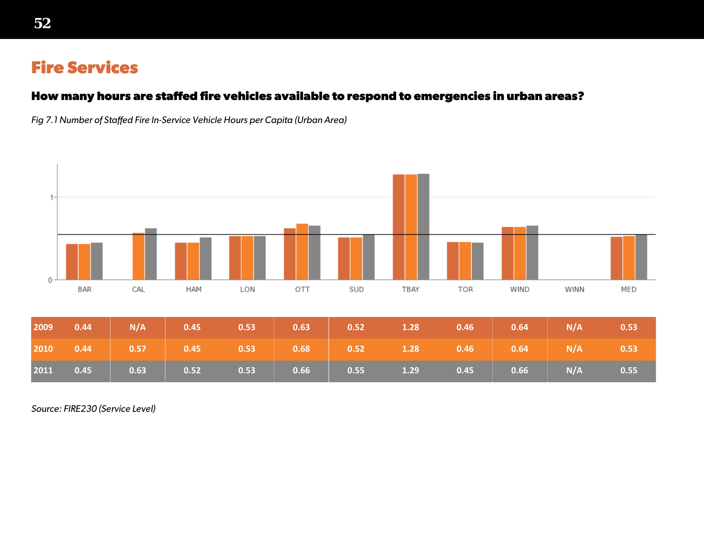# **Fire Services**

### **How many hours are staffed fire vehicles available to respond to emergencies in urban areas?**

*Fig 7.1 Number of Staffed Fire In-Service Vehicle Hours per Capita (Urban Area)*



*Source: FIRE230 (Service Level)*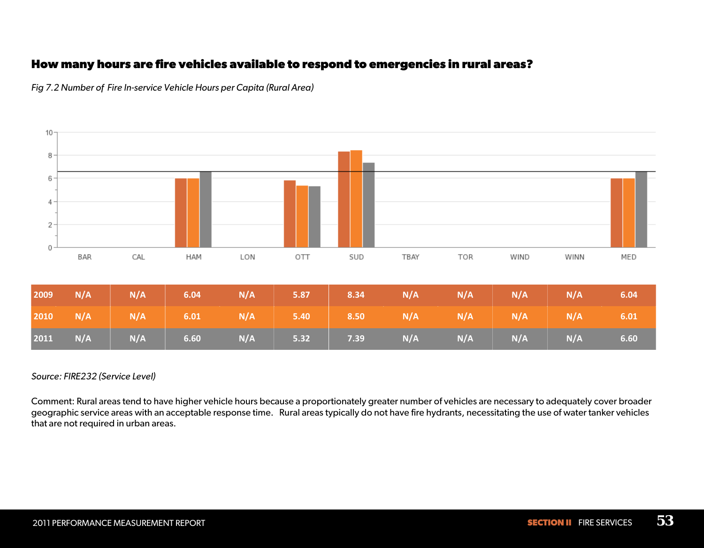### **How many hours are fire vehicles available to respond to emergencies in rural areas?**



*Fig 7.2 Number of Fire In-service Vehicle Hours per Capita (Rural Area)*

#### *Source: FIRE232 (Service Level)*

Comment: Rural areas tend to have higher vehicle hours because a proportionately greater number of vehicles are necessary to adequately cover broader geographic service areas with an acceptable response time. Rural areas typically do not have fire hydrants, necessitating the use of water tanker vehicles that are not required in urban areas.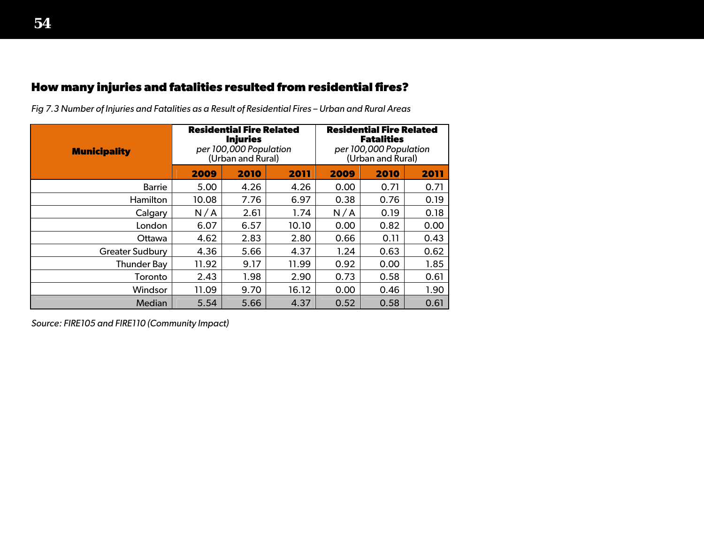# **How many injuries and fatalities resulted from residential fires?**

| <b>Municipality</b>    |       | <b>Residential Fire Related</b><br><b>Injuries</b><br>per 100,000 Population<br>(Urban and Rural) |       | <b>Residential Fire Related</b><br><b>Fatalities</b><br>per 100,000 Population<br>(Urban and Rural) |      |      |  |
|------------------------|-------|---------------------------------------------------------------------------------------------------|-------|-----------------------------------------------------------------------------------------------------|------|------|--|
|                        | 2009  | 2010                                                                                              | 2011  | 2009                                                                                                | 2010 | 2011 |  |
| <b>Barrie</b>          | 5.00  | 4.26                                                                                              | 4.26  | 0.00                                                                                                | 0.71 | 0.71 |  |
| <b>Hamilton</b>        | 10.08 | 7.76                                                                                              | 6.97  | 0.38                                                                                                | 0.76 | 0.19 |  |
| Calgary                | N/A   | 2.61                                                                                              | 1.74  | N/A                                                                                                 | 0.19 | 0.18 |  |
| London                 | 6.07  | 6.57                                                                                              | 10.10 | 0.00                                                                                                | 0.82 | 0.00 |  |
| Ottawa                 | 4.62  | 2.83                                                                                              | 2.80  | 0.66                                                                                                | 0.11 | 0.43 |  |
| <b>Greater Sudbury</b> | 4.36  | 5.66                                                                                              | 4.37  | 1.24                                                                                                | 0.63 | 0.62 |  |
| <b>Thunder Bay</b>     | 11.92 | 9.17                                                                                              | 11.99 | 0.92                                                                                                | 0.00 | 1.85 |  |
| Toronto                | 2.43  | 1.98                                                                                              | 2.90  | 0.73                                                                                                | 0.58 | 0.61 |  |
| Windsor                | 11.09 | 9.70                                                                                              | 16.12 | 0.00                                                                                                | 0.46 | 1.90 |  |
| Median                 | 5.54  | 5.66                                                                                              | 4.37  | 0.52                                                                                                | 0.58 | 0.61 |  |

*Fig 7.3 Number of Injuries and Fatalities as a Result of Residential Fires – Urban and Rural Areas* 

*Source: FIRE105 and FIRE110 (Community Impact)*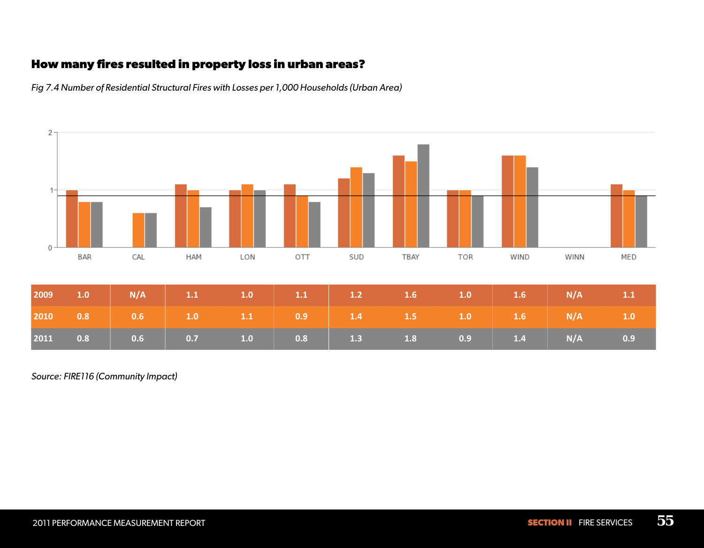# **How many fires resulted in property loss in urban areas?**



*Fig 7.4 Number of Residential Structural Fires with Losses per 1,000 Households (Urban Area)*

*Source: FIRE116 (Community Impact)*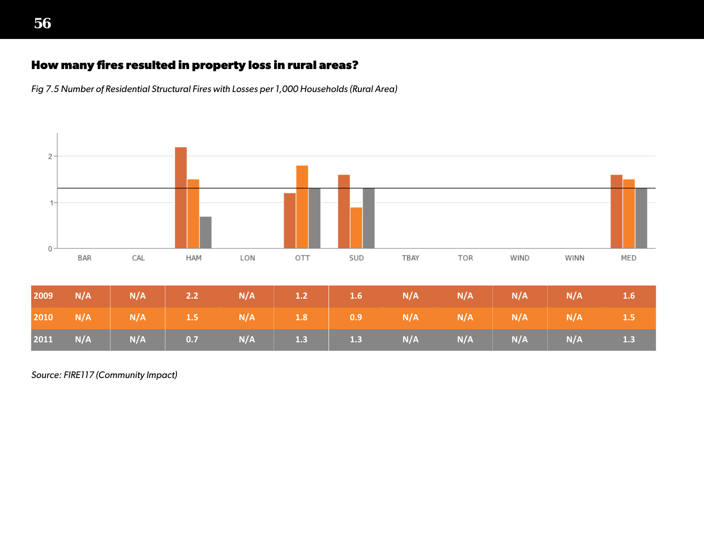### **How many fires resulted in property loss in rural areas?**

*Fig 7.5 Number of Residential Structural Fires with Losses per 1,000 Households (Rural Area)*



*Source: FIRE117 (Community Impact)*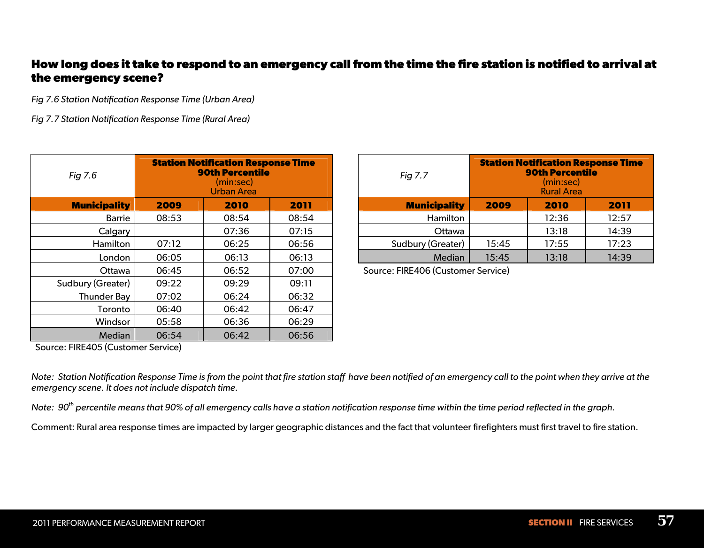### **How long does it take to respond to an emergency call from the time the fire station is notified to arrival at the emergency scene?**

*Fig 7.6 Station Notification Response Time (Urban Area)* 

*Fig 7.7 Station Notification Response Time (Rural Area)* 

| Fig 7.6             |       | <b>Station Notification Response Time</b><br><b>90th Percentile</b><br>(min:sec)<br><b>Urban Area</b> | Fig 7.7 |                         |
|---------------------|-------|-------------------------------------------------------------------------------------------------------|---------|-------------------------|
| <b>Municipality</b> | 2009  | 2010                                                                                                  | 2011    | <b>Municipality</b>     |
| <b>Barrie</b>       | 08:53 | 08:54                                                                                                 | 08:54   | Hamilton                |
| Calgary             |       | 07:36                                                                                                 | 07:15   | Ottawa                  |
| Hamilton            | 07:12 | 06:25                                                                                                 | 06:56   | Sudbury (Greater)       |
| London              | 06:05 | 06:13                                                                                                 | 06:13   | Median                  |
| Ottawa              | 06:45 | 06:52                                                                                                 | 07:00   | Source: FIRE406 (Custon |
| Sudbury (Greater)   | 09:22 | 09:29                                                                                                 | 09:11   |                         |
| <b>Thunder Bay</b>  | 07:02 | 06:24                                                                                                 | 06:32   |                         |
| Toronto             | 06:40 | 06:42                                                                                                 | 06:47   |                         |
| Windsor             | 05:58 | 06:36                                                                                                 | 06:29   |                         |
| Median              | 06:54 | 06:42                                                                                                 | 06:56   |                         |

| $\overline{q}$ 7.6  | <b>Station Notification Response Time</b><br><b>90th Percentile</b><br>(min:sec)<br><b>Urban Area</b> |       | Fig 7.7 | <b>Station Notification Response Time</b><br><b>90th Percentile</b><br>(min:sec)<br><b>Rural Area</b> |       |       |       |
|---------------------|-------------------------------------------------------------------------------------------------------|-------|---------|-------------------------------------------------------------------------------------------------------|-------|-------|-------|
| <b>Municipality</b> | 2009                                                                                                  | 2010  | 2011    | <b>Municipality</b>                                                                                   | 2009  | 2010  | 2011  |
| Barrie              | 08:53                                                                                                 | 08:54 | 08:54   | Hamilton                                                                                              |       | 12:36 | 12:57 |
| Calgary             |                                                                                                       | 07:36 | 07:15   | Ottawa                                                                                                |       | 13:18 | 14:39 |
| Hamilton            | 07:12                                                                                                 | 06:25 | 06:56   | Sudbury (Greater)                                                                                     | 15:45 | 17:55 | 17:23 |
| London              | 06:05                                                                                                 | 06:13 | 06:13   | Median                                                                                                | 15:45 | 13:18 | 14:39 |
|                     |                                                                                                       |       |         |                                                                                                       |       |       |       |

Source: FIRE406 (Customer Service)

Source: FIRE405 (Customer Service)

*Note: Station Notification Response Time is from the point that fire station staff have been notified of an emergency call to the point when they arrive at the emergency scene. It does not include dispatch time.* 

*Note: 90th percentile means that 90% of all emergency calls have a station notification response time within the time period reflected in the graph.*

Comment: Rural area response times are impacted by larger geographic distances and the fact that volunteer firefighters must first travel to fire station.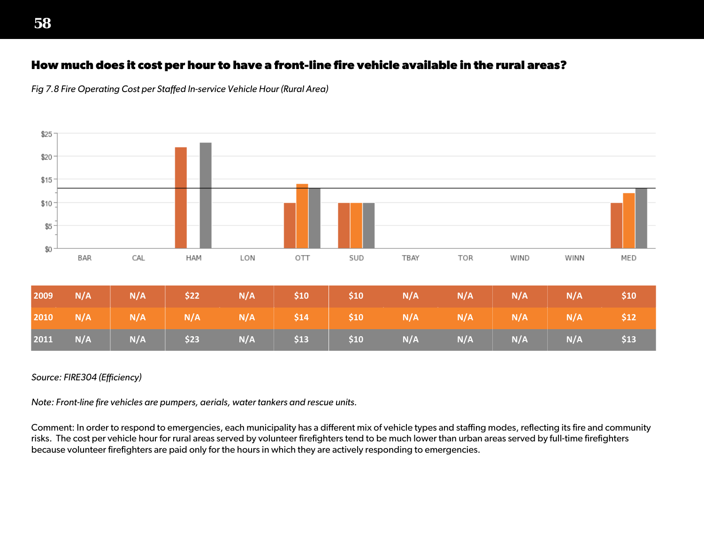### **How much does it cost per hour to have a front-line fire vehicle available in the rural areas?**

*Fig 7.8 Fire Operating Cost per Staffed In-service Vehicle Hour (Rural Area)*



#### *Source: FIRE304 (Efficiency)*

*Note: Front-line fire vehicles are pumpers, aerials, water tankers and rescue units.* 

Comment: In order to respond to emergencies, each municipality has a different mix of vehicle types and staffing modes, reflecting its fire and community risks. The cost per vehicle hour for rural areas served by volunteer firefighters tend to be much lower than urban areas served by full-time firefighters because volunteer firefighters are paid only for the hours in which they are actively responding to emergencies.

**58**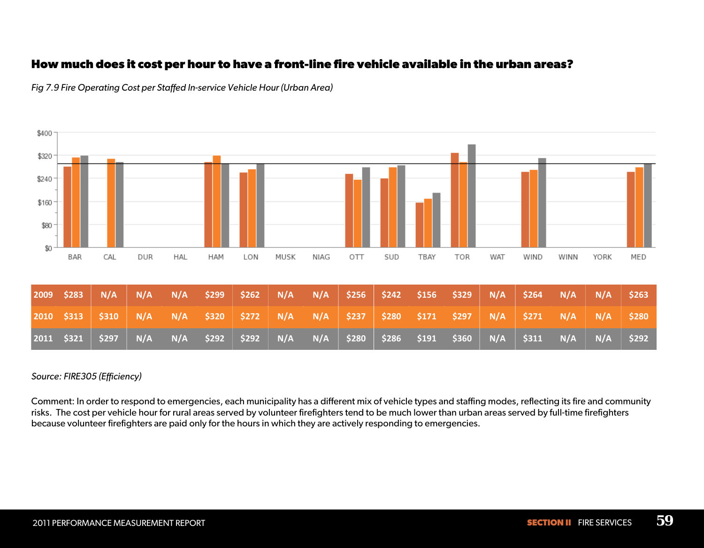### **How much does it cost per hour to have a front-line fire vehicle available in the urban areas?**



*Fig 7.9 Fire Operating Cost per Staffed In-service Vehicle Hour (Urban Area)*

#### *Source: FIRE305 (Efficiency)*

Comment: In order to respond to emergencies, each municipality has a different mix of vehicle types and staffing modes, reflecting its fire and community risks. The cost per vehicle hour for rural areas served by volunteer firefighters tend to be much lower than urban areas served by full-time firefighters because volunteer firefighters are paid only for the hours in which they are actively responding to emergencies.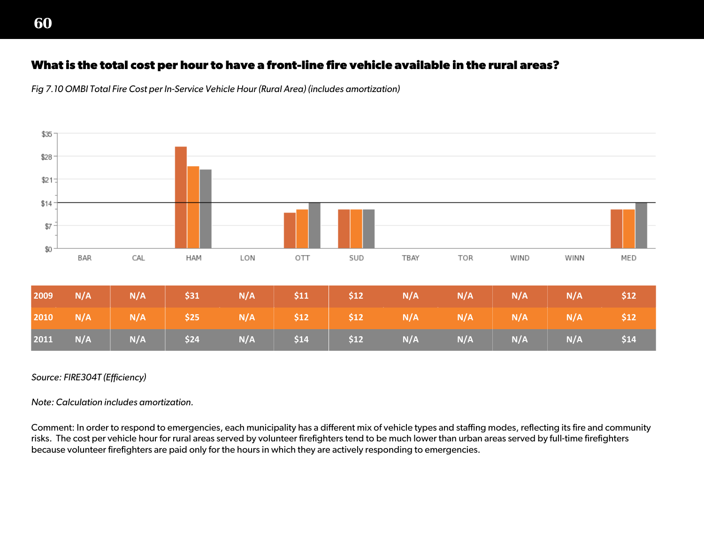### **What is the total cost per hour to have a front-line fire vehicle available in the rural areas?**





#### *Source: FIRE304T (Efficiency)*

*Note: Calculation includes amortization.*

Comment: In order to respond to emergencies, each municipality has a different mix of vehicle types and staffing modes, reflecting its fire and community risks. The cost per vehicle hour for rural areas served by volunteer firefighters tend to be much lower than urban areas served by full-time firefighters because volunteer firefighters are paid only for the hours in which they are actively responding to emergencies.